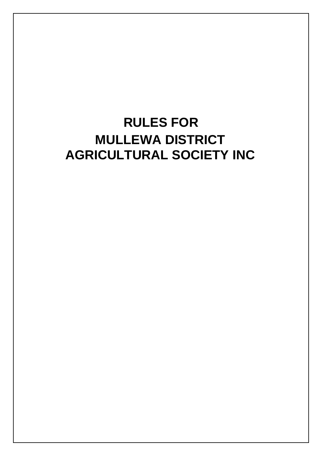# **RULES FOR MULLEWA DISTRICT AGRICULTURAL SOCIETY INC**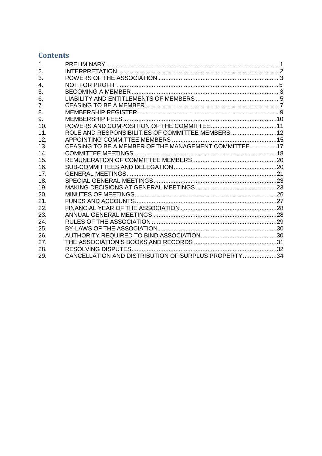## **Contents**

| 1.  |                                                      |  |
|-----|------------------------------------------------------|--|
| 2.  |                                                      |  |
| 3.  |                                                      |  |
| 4.  |                                                      |  |
| 5.  |                                                      |  |
| 6.  |                                                      |  |
| 7.  |                                                      |  |
| 8.  |                                                      |  |
| 9.  |                                                      |  |
| 10. |                                                      |  |
| 11. | ROLE AND RESPONSIBILITIES OF COMMITTEE MEMBERS12     |  |
| 12. |                                                      |  |
| 13. | CEASING TO BE A MEMBER OF THE MANAGEMENT COMMITTEE17 |  |
| 14. |                                                      |  |
| 15. |                                                      |  |
| 16. |                                                      |  |
| 17. |                                                      |  |
| 18. |                                                      |  |
| 19. |                                                      |  |
| 20. |                                                      |  |
| 21. |                                                      |  |
| 22. |                                                      |  |
| 23. |                                                      |  |
| 24. |                                                      |  |
| 25. |                                                      |  |
| 26. |                                                      |  |
| 27. |                                                      |  |
| 28. |                                                      |  |
| 29. | CANCELLATION AND DISTRIBUTION OF SURPLUS PROPERTY34  |  |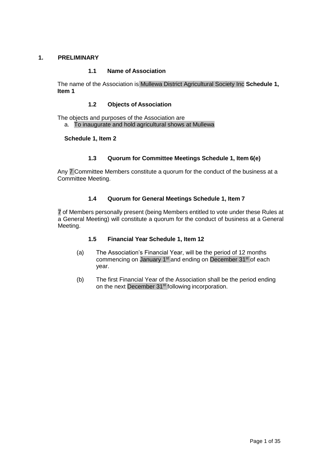## <span id="page-2-0"></span>**1. PRELIMINARY**

## **1.1 Name of Association**

The name of the Association is Mullewa District Agricultural Society Inc **Schedule 1, Item 1**

#### **1.2 Objects of Association**

The objects and purposes of the Association are

a. To inaugurate and hold agricultural shows at Mullewa

## **Schedule 1, Item 2**

## **1.3 Quorum for Committee Meetings Schedule 1, Item 6(e)**

Any 7 Committee Members constitute a quorum for the conduct of the business at a Committee Meeting.

## **1.4 Quorum for General Meetings Schedule 1, Item 7**

7 of Members personally present (being Members entitled to vote under these Rules at a General Meeting) will constitute a quorum for the conduct of business at a General Meeting.

## **1.5 Financial Year Schedule 1, Item 12**

- (a) The Association's Financial Year, will be the period of 12 months commencing on January 1<sup>st</sup> and ending on December 31<sup>st</sup> of each year.
- (b) The first Financial Year of the Association shall be the period ending on the next December 31<sup>st</sup> following incorporation.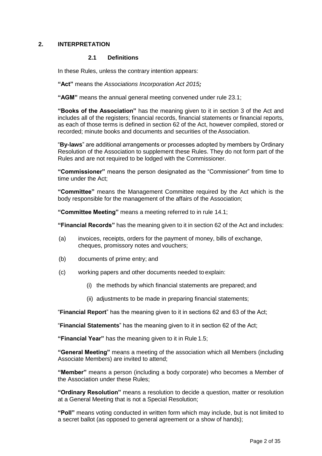## <span id="page-3-0"></span>**2. INTERPRETATION**

#### **2.1 Definitions**

In these Rules, unless the contrary intention appears:

**"Act"** means the *Associations Incorporation Act 2015;*

**"AGM"** means the annual general meeting convened under rule 23.1;

**"Books of the Association"** has the meaning given to it in section 3 of the Act and includes all of the registers; financial records, financial statements or financial reports, as each of those terms is defined in section 62 of the Act, however compiled, stored or recorded; minute books and documents and securities of the Association.

"**By-laws**" are additional arrangements or processes adopted by members by Ordinary Resolution of the Association to supplement these Rules. They do not form part of the Rules and are not required to be lodged with the Commissioner.

**"Commissioner"** means the person designated as the "Commissioner" from time to time under the Act;

**"Committee"** means the Management Committee required by the Act which is the body responsible for the management of the affairs of the Association;

**"Committee Meeting"** means a meeting referred to in rule [14.1;](#page-19-1)

**"Financial Records"** has the meaning given to it in section 62 of the Act and includes:

- (a) invoices, receipts, orders for the payment of money, bills of exchange, cheques, promissory notes and vouchers;
- (b) documents of prime entry; and
- (c) working papers and other documents needed to explain:
	- (i) the methods by which financial statements are prepared; and
	- (ii) adjustments to be made in preparing financial statements;

"**Financial Report**" has the meaning given to it in sections 62 and 63 of the Act;

"**Financial Statements**" has the meaning given to it in section 62 of the Act;

**"Financial Year"** has the meaning given to it in Rule 1.5;

**"General Meeting"** means a meeting of the association which all Members (including Associate Members) are invited to attend;

**"Member"** means a person (including a body corporate) who becomes a Member of the Association under these Rules;

**"Ordinary Resolution"** means a resolution to decide a question, matter or resolution at a General Meeting that is not a Special Resolution;

**"Poll"** means voting conducted in written form which may include, but is not limited to a secret ballot (as opposed to general agreement or a show of hands);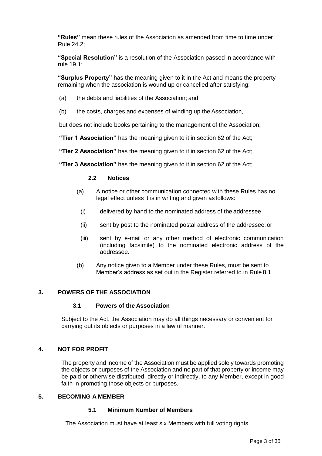**"Rules"** mean these rules of the Association as amended from time to time under Rule 24.2;

**"Special Resolution"** is a resolution of the Association passed in accordance with rule 19.1;

**"Surplus Property"** has the meaning given to it in the Act and means the property remaining when the association is wound up or cancelled after satisfying:

- (a) the debts and liabilities of the Association; and
- (b) the costs, charges and expenses of winding up the Association,

but does not include books pertaining to the management of the Association;

**"Tier 1 Association"** has the meaning given to it in section 62 of the Act;

**"Tier 2 Association"** has the meaning given to it in section 62 of the Act;

**"Tier 3 Association"** has the meaning given to it in section 62 of the Act;

#### **2.2 Notices**

- (a) A notice or other communication connected with these Rules has no legal effect unless it is in writing and given as follows:
	- (i) delivered by hand to the nominated address of the addressee;
	- (ii) sent by post to the nominated postal address of the addressee; or
	- (iii) sent by e-mail or any other method of electronic communication (including facsimile) to the nominated electronic address of the addressee.
- (b) Any notice given to a Member under these Rules, must be sent to Member's address as set out in the Register referred to in Rule 8.1.

## <span id="page-4-0"></span>**3. POWERS OF THE ASSOCIATION**

#### **3.1 Powers of the Association**

Subject to the Act, the Association may do all things necessary or convenient for carrying out its objects or purposes in a lawful manner.

## <span id="page-4-1"></span>**4. NOT FOR PROFIT**

The property and income of the Association must be applied solely towards promoting the objects or purposes of the Association and no part of that property or income may be paid or otherwise distributed, directly or indirectly, to any Member, except in good faith in promoting those objects or purposes.

#### <span id="page-4-2"></span>**5. BECOMING A MEMBER**

#### **5.1 Minimum Number of Members**

The Association must have at least six Members with full voting rights.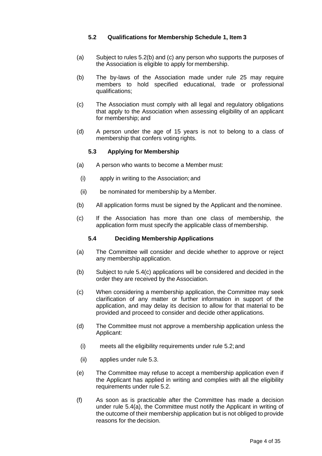## **5.2 Qualifications for Membership Schedule 1, Item 3**

- (a) Subject to rules 5.2(b) and (c) any person who supports the purposes of the Association is eligible to apply for membership.
- (b) The by-laws of the Association made under rule 25 may require members to hold specified educational, trade or professional qualifications;
- (c) The Association must comply with all legal and regulatory obligations that apply to the Association when assessing eligibility of an applicant for membership; and
- (d) A person under the age of 15 years is not to belong to a class of membership that confers voting rights.

## **5.3 Applying for Membership**

- (a) A person who wants to become a Member must:
- (i) apply in writing to the Association; and
- (ii) be nominated for membership by a Member.
- (b) All application forms must be signed by the Applicant and thenominee.
- (c) If the Association has more than one class of membership, the application form must specify the applicable class of membership.

## **5.4 Deciding Membership Applications**

- (a) The Committee will consider and decide whether to approve or reject any membership application.
- (b) Subject to rule 5.4(c) applications will be considered and decided in the order they are received by the Association.
- (c) When considering a membership application, the Committee may seek clarification of any matter or further information in support of the application, and may delay its decision to allow for that material to be provided and proceed to consider and decide other applications.
- (d) The Committee must not approve a membership application unless the Applicant:
	- (i) meets all the eligibility requirements under rule 5.2;and
	- (ii) applies under rule 5.3.
- (e) The Committee may refuse to accept a membership application even if the Applicant has applied in writing and complies with all the eligibility requirements under rule 5.2.
- (f) As soon as is practicable after the Committee has made a decision under rule 5.4(a), the Committee must notify the Applicant in writing of the outcome of their membership application but is not obliged to provide reasons for the decision.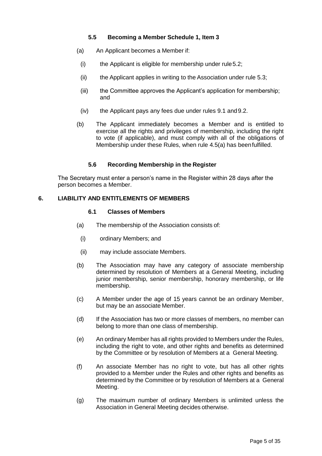## **5.5 Becoming a Member Schedule 1, Item 3**

- <span id="page-6-1"></span>(a) An Applicant becomes a Member if:
- $(i)$  the Applicant is eligible for membership under rule 5.2;
- (ii) the Applicant applies in writing to the Association under rule 5.3;
- (iii) the Committee approves the Applicant's application for membership; and
- (iv) the Applicant pays any fees due under rules 9.1 and9.2.
- (b) The Applicant immediately becomes a Member and is entitled to exercise all the rights and privileges of membership, including the right to vote (if applicable), and must comply with all of the obligations of Membership under these Rules, when rule [4.5\(a\) h](#page-6-1)as beenfulfilled.

#### **5.6 Recording Membership in the Register**

The Secretary must enter a person's name in the Register within 28 days after the person becomes a Member.

#### <span id="page-6-0"></span>**6. LIABILITY AND ENTITLEMENTS OF MEMBERS**

#### **6.1 Classes of Members**

- (a) The membership of the Association consists of:
	- (i) ordinary Members; and
	- (ii) may include associate Members.
- (b) The Association may have any category of associate membership determined by resolution of Members at a General Meeting, including junior membership, senior membership, honorary membership, or life membership.
- (c) A Member under the age of 15 years cannot be an ordinary Member, but may be an associate Member.
- (d) If the Association has two or more classes of members, no member can belong to more than one class of membership.
- (e) An ordinary Member has all rights provided to Members under the Rules, including the right to vote, and other rights and benefits as determined by the Committee or by resolution of Members at a General Meeting.
- (f) An associate Member has no right to vote, but has all other rights provided to a Member under the Rules and other rights and benefits as determined by the Committee or by resolution of Members at a General Meeting.
- (g) The maximum number of ordinary Members is unlimited unless the Association in General Meeting decides otherwise.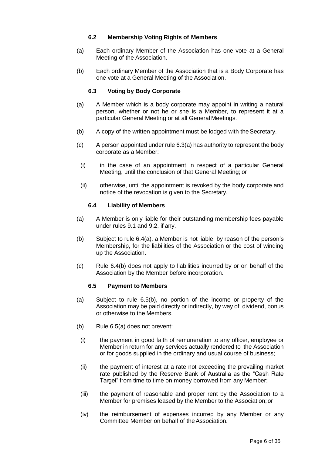## **6.2 Membership Voting Rights of Members**

- (a) Each ordinary Member of the Association has one vote at a General Meeting of the Association.
- (b) Each ordinary Member of the Association that is a Body Corporate has one vote at a General Meeting of the Association.

## **6.3 Voting by Body Corporate**

- (a) A Member which is a body corporate may appoint in writing a natural person, whether or not he or she is a Member, to represent it at a particular General Meeting or at all General Meetings.
- (b) A copy of the written appointment must be lodged with theSecretary.
- (c) A person appointed under rule 6.3(a) has authority to represent the body corporate as a Member:
	- (i) in the case of an appointment in respect of a particular General Meeting, until the conclusion of that General Meeting; or
	- (ii) otherwise, until the appointment is revoked by the body corporate and notice of the revocation is given to the Secretary.

## **6.4 Liability of Members**

- (a) A Member is only liable for their outstanding membership fees payable under rules 9.1 and 9.2, if any.
- (b) Subject to rule 6.4(a), a Member is not liable, by reason of the person's Membership, for the liabilities of the Association or the cost of winding up the Association.
- (c) Rule 6.4(b) does not apply to liabilities incurred by or on behalf of the Association by the Member before incorporation.

## **6.5 Payment to Members**

- (a) Subject to rule 6.5(b), no portion of the income or property of the Association may be paid directly or indirectly, by way of dividend, bonus or otherwise to the Members.
- (b) Rule 6.5(a) does not prevent:
- (i) the payment in good faith of remuneration to any officer, employee or Member in return for any services actually rendered to the Association or for goods supplied in the ordinary and usual course of business;
- (ii) the payment of interest at a rate not exceeding the prevailing market rate published by the Reserve Bank of Australia as the "Cash Rate Target" from time to time on money borrowed from any Member;
- (iii) the payment of reasonable and proper rent by the Association to a Member for premises leased by the Member to the Association;or
- (iv) the reimbursement of expenses incurred by any Member or any Committee Member on behalf of the Association.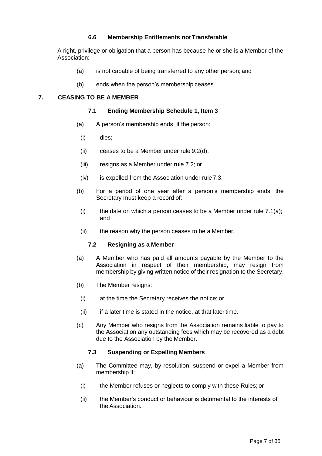## **6.6 Membership Entitlements notTransferable**

A right, privilege or obligation that a person has because he or she is a Member of the Association:

- (a) is not capable of being transferred to any other person; and
- (b) ends when the person's membership ceases.

## <span id="page-8-0"></span>**7. CEASING TO BE A MEMBER**

## **7.1 Ending Membership Schedule 1, Item 3**

- (a) A person's membership ends, if the person:
	- (i) dies;
	- (ii) ceases to be a Member under rule 9.2(d);
	- (iii) resigns as a Member under rule 7.2; or
	- (iv) is expelled from the Association under rule 7.3.
- (b) For a period of one year after a person's membership ends, the Secretary must keep a record of:
- (i) the date on which a person ceases to be a Member under rule  $7.1(a)$ ; and
- (ii) the reason why the person ceases to be a Member.

## **7.2 Resigning as a Member**

- (a) A Member who has paid all amounts payable by the Member to the Association in respect of their membership, may resign from membership by giving written notice of their resignation to the Secretary.
- (b) The Member resigns:
	- (i) at the time the Secretary receives the notice; or
	- $(ii)$  if a later time is stated in the notice, at that later time.
- (c) Any Member who resigns from the Association remains liable to pay to the Association any outstanding fees which may be recovered as a debt due to the Association by the Member.

## **7.3 Suspending or Expelling Members**

- (a) The Committee may, by resolution, suspend or expel a Member from membership if:
	- (i) the Member refuses or neglects to comply with these Rules; or
	- (ii) the Member's conduct or behaviour is detrimental to the interests of the Association.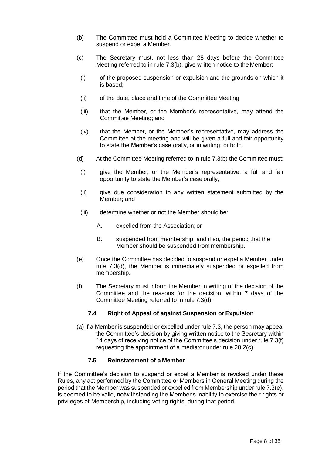- (b) The Committee must hold a Committee Meeting to decide whether to suspend or expel a Member.
- (c) The Secretary must, not less than 28 days before the Committee Meeting referred to in rule 7.3(b), give written notice to the Member:
- (i) of the proposed suspension or expulsion and the grounds on which it is based;
- (ii) of the date, place and time of the Committee Meeting;
- (iii) that the Member, or the Member's representative, may attend the Committee Meeting; and
- (iv) that the Member, or the Member's representative, may address the Committee at the meeting and will be given a full and fair opportunity to state the Member's case orally, or in writing, or both.
- (d) At the Committee Meeting referred to in rule 7.3(b) the Committee must:
	- (i) give the Member, or the Member's representative, a full and fair opportunity to state the Member's case orally;
	- (ii) give due consideration to any written statement submitted by the Member; and
	- (iii) determine whether or not the Member should be:
		- A. expelled from the Association; or
		- B. suspended from membership, and if so, the period that the Member should be suspended from membership.
- (e) Once the Committee has decided to suspend or expel a Member under rule 7.3(d), the Member is immediately suspended or expelled from membership.
- (f) The Secretary must inform the Member in writing of the decision of the Committee and the reasons for the decision, within 7 days of the Committee Meeting referred to in rule 7.3(d).

## **7.4 Right of Appeal of against Suspension or Expulsion**

(a) If a Member is suspended or expelled under rule 7.3, the person may appeal the Committee's decision by giving written notice to the Secretary within 14 days of receiving notice of the Committee's decision under rule 7.3(f) requesting the appointment of a mediator under rule 28.2(c)

## **7.5 Reinstatement of a Member**

If the Committee's decision to suspend or expel a Member is revoked under these Rules, any act performed by the Committee or Members in General Meeting during the period that the Member was suspended or expelled from Membership under rule 7.3(e), is deemed to be valid, notwithstanding the Member's inability to exercise their rights or privileges of Membership, including voting rights, during that period.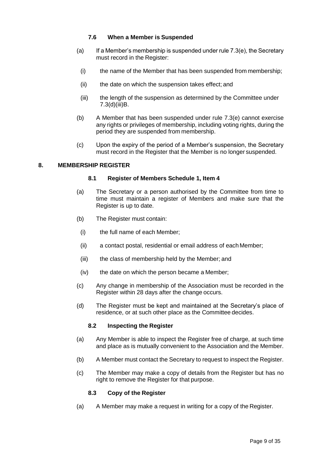## **7.6 When a Member is Suspended**

- (a) If a Member's membership is suspended under rule  $7.3(e)$ , the Secretary must record in the Register:
	- (i) the name of the Member that has been suspended from membership;
- (ii) the date on which the suspension takes effect; and
- (iii) the length of the suspension as determined by the Committee under 7.3(d)(iii)B.
- (b) A Member that has been suspended under rule 7.3(e) cannot exercise any rights or privileges of membership, including voting rights, during the period they are suspended from membership.
- (c) Upon the expiry of the period of a Member's suspension, the Secretary must record in the Register that the Member is no longer suspended.

#### <span id="page-10-1"></span><span id="page-10-0"></span>**8. MEMBERSHIP REGISTER**

#### **8.1 Register of Members Schedule 1, Item 4**

- (a) The Secretary or a person authorised by the Committee from time to time must maintain a register of Members and make sure that the Register is up to date.
- (b) The Register must contain:
	- (i) the full name of each Member;
	- (ii) a contact postal, residential or email address of each Member;
	- (iii) the class of membership held by the Member; and
	- (iv) the date on which the person became a Member;
- (c) Any change in membership of the Association must be recorded in the Register within 28 days after the change occurs.
- (d) The Register must be kept and maintained at the Secretary's place of residence, or at such other place as the Committee decides.

## **8.2 Inspecting the Register**

- (a) Any Member is able to inspect the Register free of charge, at such time and place as is mutually convenient to the Association and the Member.
- (b) A Member must contact the Secretary to request to inspect the Register.
- (c) The Member may make a copy of details from the Register but has no right to remove the Register for that purpose.

## **8.3 Copy of the Register**

(a) A Member may make a request in writing for a copy of the Register.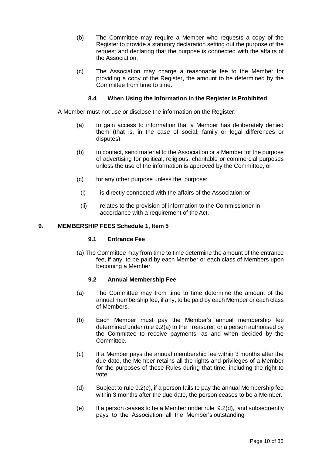- (b) The Committee may require a Member who requests a copy of the Register to provide a statutory declaration setting out the purpose of the request and declaring that the purpose is connected with the affairs of the Association.
- (c) The Association may charge a reasonable fee to the Member for providing a copy of the Register, the amount to be determined by the Committee from time to time.

## **8.4 When Using the Information in the Register is Prohibited**

A Member must not use or disclose the information on the Register:

- (a) to gain access to information that a Member has deliberately denied them (that is, in the case of social, family or legal differences or disputes);
- (b) to contact, send material to the Association or a Member for the purpose of advertising for political, religious, charitable or commercial purposes unless the use of the information is approved by the Committee, or
- (c) for any other purpose unless the purpose:
	- (i) is directly connected with the affairs of the Association;or
- (ii) relates to the provision of information to the Commissioner in accordance with a requirement of the Act.

#### <span id="page-11-4"></span><span id="page-11-0"></span>**9. MEMBERSHIP FEES Schedule 1, Item 5**

#### **9.1 Entrance Fee**

(a) The Committee may from time to time determine the amount of the entrance fee, if any, to be paid by each Member or each class of Members upon becoming a Member.

#### **9.2 Annual Membership Fee**

- <span id="page-11-5"></span><span id="page-11-1"></span>(a) The Committee may from time to time determine the amount of the annual membership fee, if any, to be paid by each Member or each class of Members.
- (b) Each Member must pay the Member's annual membership fee determined under rule [9.2\(a\) t](#page-11-1)o the Treasurer, or a person authorised by the Committee to receive payments, as and when decided by the Committee.
- (c) If a Member pays the annual membership fee within 3 months after the due date, the Member retains all the rights and privileges of a Member for the purposes of these Rules during that time, including the right to vote.
- <span id="page-11-3"></span>(d) Subject to rule [9.2\(e\),](#page-11-2) if a person fails to pay the annual Membership fee within 3 months after the due date, the person ceases to be a Member.
- <span id="page-11-2"></span>(e) If a person ceases to be a Member under rule  $9.2(d)$ , and subsequently pays to the Association all the Member's outstanding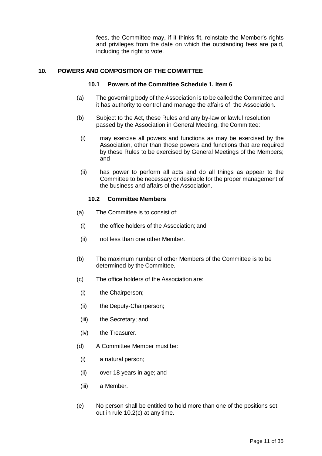fees, the Committee may, if it thinks fit, reinstate the Member's rights and privileges from the date on which the outstanding fees are paid, including the right to vote.

#### <span id="page-12-0"></span>**10. POWERS AND COMPOSITION OF THE COMMITTEE**

#### **10.1 Powers of the Committee Schedule 1, Item 6**

- (a) The governing body of the Association is to be called the Committee and it has authority to control and manage the affairs of the Association.
- (b) Subject to the Act, these Rules and any by-law or lawful resolution passed by the Association in General Meeting, the Committee:
	- (i) may exercise all powers and functions as may be exercised by the Association, other than those powers and functions that are required by these Rules to be exercised by General Meetings of the Members; and
	- (ii) has power to perform all acts and do all things as appear to the Committee to be necessary or desirable for the proper management of the business and affairs of the Association.

## **10.2 Committee Members**

- (a) The Committee is to consist of:
- (i) the office holders of the Association; and
- (ii) not less than one other Member.
- (b) The maximum number of other Members of the Committee is to be determined by the Committee.
- <span id="page-12-1"></span>(c) The office holders of the Association are:
	- (i) the Chairperson;
	- (ii) the Deputy-Chairperson;
	- (iii) the Secretary; and
	- (iv) the Treasurer.
- (d) A Committee Member must be:
	- (i) a natural person;
	- (ii) over 18 years in age; and
- (iii) a Member.
- (e) No person shall be entitled to hold more than one of the positions set out in rule [10.2\(c\) a](#page-12-1)t any time.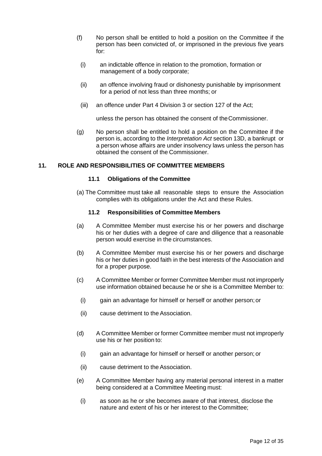- (f) No person shall be entitled to hold a position on the Committee if the person has been convicted of, or imprisoned in the previous five years for:
	- (i) an indictable offence in relation to the promotion, formation or management of a body corporate;
	- (ii) an offence involving fraud or dishonesty punishable by imprisonment for a period of not less than three months; or
	- (iii) an offence under Part 4 Division 3 or section 127 of the Act;

<span id="page-13-0"></span>unless the person has obtained the consent of theCommissioner.

(g) No person shall be entitled to hold a position on the Committee if the person is, according to the *Interpretation Act* section 13D, a bankrupt or a person whose affairs are under insolvency laws unless the person has obtained the consent of the Commissioner.

## **11. ROLE AND RESPONSIBILITIES OF COMMITTEE MEMBERS**

#### **11.1 Obligations of the Committee**

(a) The Committee must take all reasonable steps to ensure the Association complies with its obligations under the Act and these Rules.

#### **11.2 Responsibilities of Committee Members**

- (a) A Committee Member must exercise his or her powers and discharge his or her duties with a degree of care and diligence that a reasonable person would exercise in the circumstances.
- (b) A Committee Member must exercise his or her powers and discharge his or her duties in good faith in the best interests of the Association and for a proper purpose.
- (c) A Committee Member or former Committee Member must not improperly use information obtained because he or she is a Committee Member to:
	- (i) gain an advantage for himself or herself or another person;or
	- (ii) cause detriment to theAssociation.
- (d) A Committee Member or former Committee member must not improperly use his or her position to:
	- (i) gain an advantage for himself or herself or another person; or
	- (ii) cause detriment to theAssociation.
- <span id="page-13-1"></span>(e) A Committee Member having any material personal interest in a matter being considered at a Committee Meeting must:
	- (i) as soon as he or she becomes aware of that interest, disclose the nature and extent of his or her interest to the Committee;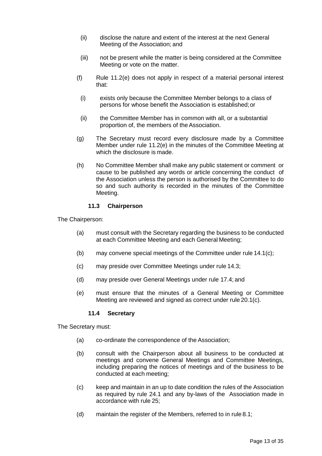- (ii) disclose the nature and extent of the interest at the next General Meeting of the Association; and
- (iii) not be present while the matter is being considered at the Committee Meeting or vote on the matter.
- (f) Rule [11.2\(e\) d](#page-13-1)oes not apply in respect of a material personal interest that:
- (i) exists only because the Committee Member belongs to a class of persons for whose benefit the Association is established;or
- (ii) the Committee Member has in common with all, or a substantial proportion of, the members of the Association.
- (g) The Secretary must record every disclosure made by a Committee Member under rule [11.2\(e\) i](#page-13-1)n the minutes of the Committee Meeting at which the disclosure is made.
- (h) No Committee Member shall make any public statement or comment or cause to be published any words or article concerning the conduct of the Association unless the person is authorised by the Committee to do so and such authority is recorded in the minutes of the Committee Meeting.

## **11.3 Chairperson**

The Chairperson:

- (a) must consult with the Secretary regarding the business to be conducted at each Committee Meeting and each General Meeting;
- (b) may convene special meetings of the Committee under rule [14.1\(c\);](#page-19-2)
- (c) may preside over Committee Meetings under rule [14.3;](#page-20-0)
- (d) may preside over General Meetings under rule [17.4;](#page-23-0) and
- (e) must ensure that the minutes of a General Meeting or Committee Meeting are reviewed and signed as correct under rule [20.1\(c\).](#page-27-1)

## **11.4 Secretary**

The Secretary must:

- (a) co-ordinate the correspondence of the Association;
- (b) consult with the Chairperson about all business to be conducted at meetings and convene General Meetings and Committee Meetings, including preparing the notices of meetings and of the business to be conducted at each meeting;
- (c) keep and maintain in an up to date condition the rules of the Association as required by rule 24.1 and any by-laws of the Association made in accordance with rule 25;
- (d) maintain the register of the Members, referred to in rule [8.1;](#page-10-1)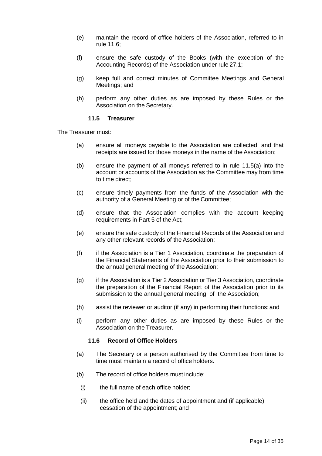- (e) maintain the record of office holders of the Association, referred to in rule [11.6;](#page-15-0)
- (f) ensure the safe custody of the Books (with the exception of the Accounting Records) of the Association under rule [27.1;](#page-32-1)
- (g) keep full and correct minutes of Committee Meetings and General Meetings; and
- (h) perform any other duties as are imposed by these Rules or the Association on the Secretary.

#### **11.5 Treasurer**

<span id="page-15-1"></span>The Treasurer must:

- (a) ensure all moneys payable to the Association are collected, and that receipts are issued for those moneys in the name of the Association;
- (b) ensure the payment of all moneys referred to in rule [11.5\(a\) i](#page-15-1)nto the account or accounts of the Association as the Committee may from time to time direct;
- (c) ensure timely payments from the funds of the Association with the authority of a General Meeting or of the Committee;
- (d) ensure that the Association complies with the account keeping requirements in Part 5 of the Act;
- (e) ensure the safe custody of the Financial Records of the Association and any other relevant records of the Association;
- (f) if the Association is a Tier 1 Association, coordinate the preparation of the Financial Statements of the Association prior to their submission to the annual general meeting of the Association;
- (g) if the Association is a Tier 2 Association or Tier 3 Association, coordinate the preparation of the Financial Report of the Association prior to its submission to the annual general meeting of the Association;
- (h) assist the reviewer or auditor (if any) in performing their functions;and
- (i) perform any other duties as are imposed by these Rules or the Association on the Treasurer.

## **11.6 Record of Office Holders**

- <span id="page-15-0"></span>(a) The Secretary or a person authorised by the Committee from time to time must maintain a record of office holders.
- (b) The record of office holders must include:
	- (i) the full name of each office holder;
	- (ii) the office held and the dates of appointment and (if applicable) cessation of the appointment; and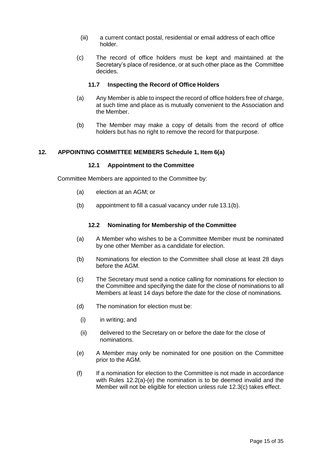- (iii) a current contact postal, residential or email address of each office holder.
- (c) The record of office holders must be kept and maintained at the Secretary's place of residence, or at such other place as the Committee decides.

#### **11.7 Inspecting the Record of Office Holders**

- (a) Any Member is able to inspect the record of office holders free of charge, at such time and place as is mutually convenient to the Association and the Member.
- (b) The Member may make a copy of details from the record of office holders but has no right to remove the record for that purpose.

## <span id="page-16-0"></span>**12. APPOINTING COMMITTEE MEMBERS Schedule 1, Item 6(a)**

#### **12.1 Appointment to the Committee**

Committee Members are appointed to the Committee by:

- (a) election at an AGM; or
- <span id="page-16-1"></span>(b) appointment to fill a casual vacancy under rule [13.1\(b\).](#page-18-1)

#### **12.2 Nominating for Membership of the Committee**

- (a) A Member who wishes to be a Committee Member must be nominated by one other Member as a candidate for election.
- (b) Nominations for election to the Committee shall close at least 28 days before the AGM.
- (c) The Secretary must send a notice calling for nominations for election to the Committee and specifying the date for the close of nominations to all Members at least 14 days before the date for the close of nominations.
- (d) The nomination for election must be:
- (i) in writing; and
- (ii) delivered to the Secretary on or before the date for the close of nominations.
- (e) A Member may only be nominated for one position on the Committee prior to the AGM.
- (f) If a nomination for election to the Committee is not made in accordance with Rules 12.2(a)-(e) the nomination is to be deemed invalid and the Member will not be eligible for election unless rule [12.3\(c\) t](#page-17-0)akes effect.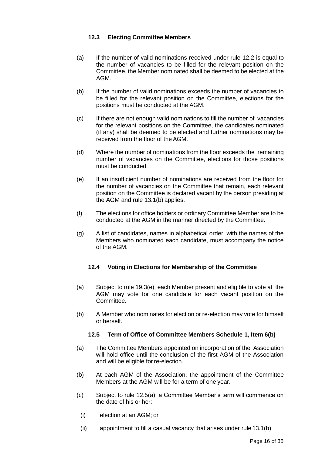## **12.3 Electing Committee Members**

- (a) If the number of valid nominations received under rule [12.2 i](#page-16-1)s equal to the number of vacancies to be filled for the relevant position on the Committee, the Member nominated shall be deemed to be elected at the AGM.
- (b) If the number of valid nominations exceeds the number of vacancies to be filled for the relevant position on the Committee, elections for the positions must be conducted at the AGM.
- <span id="page-17-0"></span>(c) If there are not enough valid nominations to fill the number of vacancies for the relevant positions on the Committee, the candidates nominated (if any) shall be deemed to be elected and further nominations may be received from the floor of the AGM.
- (d) Where the number of nominations from the floor exceeds the remaining number of vacancies on the Committee, elections for those positions must be conducted.
- <span id="page-17-2"></span>(e) If an insufficient number of nominations are received from the floor for the number of vacancies on the Committee that remain, each relevant position on the Committee is declared vacant by the person presiding at the AGM and rule [13.1\(b\)](#page-18-1) applies.
- (f) The elections for office holders or ordinary Committee Member are to be conducted at the AGM in the manner directed by the Committee.
- (g) A list of candidates, names in alphabetical order, with the names of the Members who nominated each candidate, must accompany the notice of the AGM.

## **12.4 Voting in Elections for Membership of the Committee**

- (a) Subject to rule [19.3\(e\),](#page-26-0) each Member present and eligible to vote at the AGM may vote for one candidate for each vacant position on the Committee.
- (b) A Member who nominates for election or re-election may vote for himself or herself.

## **12.5 Term of Office of Committee Members Schedule 1, Item 6(b)**

- <span id="page-17-1"></span>(a) The Committee Members appointed on incorporation of the Association will hold office until the conclusion of the first AGM of the Association and will be eligible for re-election.
- (b) At each AGM of the Association, the appointment of the Committee Members at the AGM will be for a term of one year.
- (c) Subject to rule [12.5\(a\),](#page-17-1) a Committee Member's term will commence on the date of his or her:
	- (i) election at an AGM; or
	- (ii) appointment to fill a casual vacancy that arises under rule [13.1\(b\).](#page-18-1)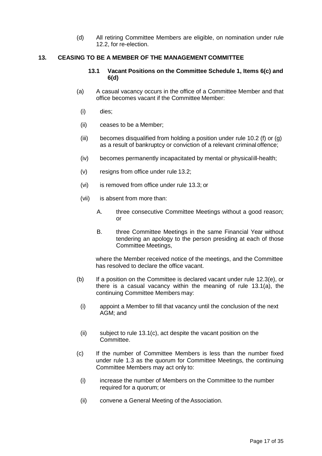(d) All retiring Committee Members are eligible, on nomination under rul[e](#page-16-1) [12.2,](#page-16-1) for re-election.

## <span id="page-18-2"></span><span id="page-18-0"></span>**13. CEASING TO BE A MEMBER OF THE MANAGEMENT COMMITTEE**

#### **13.1 Vacant Positions on the Committee Schedule 1, Items 6(c) and 6(d)**

- (a) A casual vacancy occurs in the office of a Committee Member and that office becomes vacant if the Committee Member:
	- (i) dies;
	- (ii) ceases to be a Member;
	- (iii) becomes disqualified from holding a position under rule 10.2 (f) or (g) as a result of bankruptcy or conviction of a relevant criminal offence;
	- (iv) becomes permanently incapacitated by mental or physicalill-health;
	- (v) resigns from office under rule [13.2;](#page-19-3)
	- (vi) is removed from office under rule [13.3;](#page-19-4) or
	- (vii) is absent from more than:
		- A. three consecutive Committee Meetings without a good reason; or
		- B. three Committee Meetings in the same Financial Year without tendering an apology to the person presiding at each of those Committee Meetings,

<span id="page-18-4"></span>where the Member received notice of the meetings, and the Committee has resolved to declare the office vacant.

- <span id="page-18-1"></span>(b) If a position on the Committee is declared vacant under rule [12.3\(e\),](#page-17-2) or there is a casual vacancy within the meaning of rule [13.1\(a\),](#page-18-2) the continuing Committee Members may:
	- (i) appoint a Member to fill that vacancy until the conclusion of the next AGM; and
	- (ii) subject to rule [13.1\(c\),](#page-18-3) act despite the vacant position on the Committee.
- <span id="page-18-3"></span>(c) If the number of Committee Members is less than the number fixed under rule 1.3 as the quorum for Committee Meetings, the continuing Committee Members may act only to:
	- (i) increase the number of Members on the Committee to the number required for a quorum; or
	- (ii) convene a General Meeting of theAssociation.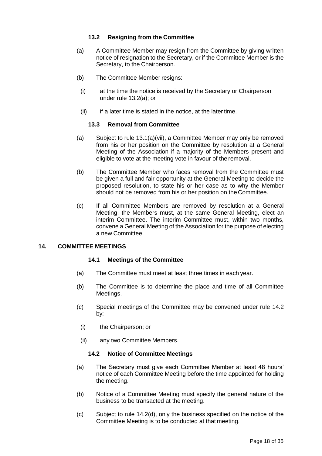## **13.2 Resigning from the Committee**

- <span id="page-19-5"></span><span id="page-19-3"></span>(a) A Committee Member may resign from the Committee by giving written notice of resignation to the Secretary, or if the Committee Member is the Secretary, to the Chairperson.
- (b) The Committee Member resigns:
- (i) at the time the notice is received by the Secretary or Chairperson under rule [13.2\(a\);](#page-19-5) or
- (ii) if a later time is stated in the notice, at the later time.

## **13.3 Removal from Committee**

- <span id="page-19-4"></span>(a) Subject to rule [13.1\(a\)\(vii\),](#page-18-4) a Committee Member may only be removed from his or her position on the Committee by resolution at a General Meeting of the Association if a majority of the Members present and eligible to vote at the meeting vote in favour of the removal.
- (b) The Committee Member who faces removal from the Committee must be given a full and fair opportunity at the General Meeting to decide the proposed resolution, to state his or her case as to why the Member should not be removed from his or her position on the Committee.
- (c) If all Committee Members are removed by resolution at a General Meeting, the Members must, at the same General Meeting, elect an interim Committee. The interim Committee must, within two months, convene a General Meeting of the Association for the purpose of electing a new Committee.

## <span id="page-19-1"></span><span id="page-19-0"></span>**14. COMMITTEE MEETINGS**

## **14.1 Meetings of the Committee**

- (a) The Committee must meet at least three times in each year.
- (b) The Committee is to determine the place and time of all Committee Meetings.
- <span id="page-19-2"></span>(c) Special meetings of the Committee may be convened under rule [14.2](#page-19-6) by:
	- (i) the Chairperson; or
	- (ii) any two Committee Members.

## **14.2 Notice of Committee Meetings**

- <span id="page-19-6"></span>(a) The Secretary must give each Committee Member at least 48 hours' notice of each Committee Meeting before the time appointed for holding the meeting.
- (b) Notice of a Committee Meeting must specify the general nature of the business to be transacted at the meeting.
- (c) Subject to rule [14.2\(d\),](#page-20-1) only the business specified on the notice of the Committee Meeting is to be conducted at that meeting.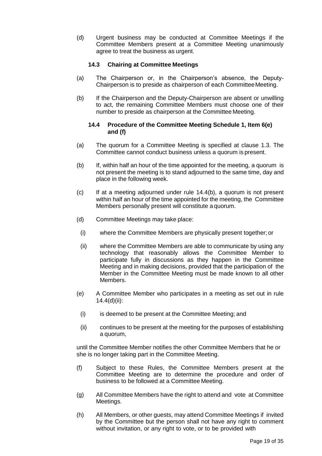<span id="page-20-1"></span>(d) Urgent business may be conducted at Committee Meetings if the Committee Members present at a Committee Meeting unanimously agree to treat the business as urgent.

## **14.3 Chairing at Committee Meetings**

- <span id="page-20-0"></span>(a) The Chairperson or, in the Chairperson's absence, the Deputy-Chairperson is to preside as chairperson of each CommitteeMeeting.
- (b) If the Chairperson and the Deputy-Chairperson are absent or unwilling to act, the remaining Committee Members must choose one of their number to preside as chairperson at the Committee Meeting.

#### **14.4 Procedure of the Committee Meeting Schedule 1, Item 6(e) and (f)**

- (a) The quorum for a Committee Meeting is specified at clause 1.3. The Committee cannot conduct business unless a quorum is present.
- <span id="page-20-2"></span>(b) If, within half an hour of the time appointed for the meeting, a quorum is not present the meeting is to stand adjourned to the same time, day and place in the following week.
- (c) If at a meeting adjourned under rule [14.4\(b\),](#page-20-2) a quorum is not present within half an hour of the time appointed for the meeting, the Committee Members personally present will constitute a quorum.
- <span id="page-20-3"></span>(d) Committee Meetings may take place:
	- (i) where the Committee Members are physically present together; or
	- (ii) where the Committee Members are able to communicate by using any technology that reasonably allows the Committee Member to participate fully in discussions as they happen in the Committee Meeting and in making decisions, provided that the participation of the Member in the Committee Meeting must be made known to all other Members.
- (e) A Committee Member who participates in a meeting as set out in rul[e](#page-20-3) [14.4\(d\)\(ii\):](#page-20-3)
- (i) is deemed to be present at the Committee Meeting; and
- (ii) continues to be present at the meeting for the purposes of establishing a quorum,

until the Committee Member notifies the other Committee Members that he or she is no longer taking part in the Committee Meeting.

- (f) Subject to these Rules, the Committee Members present at the Committee Meeting are to determine the procedure and order of business to be followed at a Committee Meeting.
- (g) All Committee Members have the right to attend and vote at Committee Meetings.
- (h) All Members, or other guests, may attend Committee Meetings if invited by the Committee but the person shall not have any right to comment without invitation, or any right to vote, or to be provided with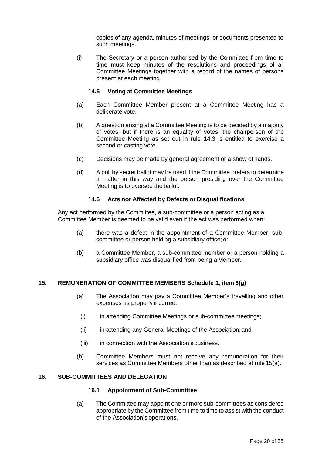copies of any agenda, minutes of meetings, or documents presented to such meetings.

(i) The Secretary or a person authorised by the Committee from time to time must keep minutes of the resolutions and proceedings of all Committee Meetings together with a record of the names of persons present at each meeting.

## **14.5 Voting at Committee Meetings**

- (a) Each Committee Member present at a Committee Meeting has a deliberate vote.
- (b) A question arising at a Committee Meeting is to be decided by a majority of votes, but if there is an equality of votes, the chairperson of the Committee Meeting as set out in rule [14.3 i](#page-20-0)s entitled to exercise a second or casting vote.
- (c) Decisions may be made by general agreement or a show of hands.
- (d) A poll by secret ballot may be used if the Committee prefers to determine a matter in this way and the person presiding over the Committee Meeting is to oversee the ballot.

#### **14.6 Acts not Affected by Defects or Disqualifications**

Any act performed by the Committee, a sub-committee or a person acting as a Committee Member is deemed to be valid even if the act was performed when:

- (a) there was a defect in the appointment of a Committee Member, subcommittee or person holding a subsidiary office; or
- (b) a Committee Member, a sub-committee member or a person holding a subsidiary office was disqualified from being a Member.

## <span id="page-21-0"></span>**15. REMUNERATION OF COMMITTEE MEMBERS Schedule 1, item 6(g)**

- (a) The Association may pay a Committee Member's travelling and other expenses as properly incurred:
	- (i) in attending Committee Meetings or sub-committee meetings;
	- (ii) in attending any General Meetings of the Association; and
	- (iii) in connection with the Association's business.
- (b) Committee Members must not receive any remuneration for their services as Committee Members other than as described at rule 15(a).

#### <span id="page-21-1"></span>**16. SUB-COMMITTEES AND DELEGATION**

#### **16.1 Appointment of Sub-Committee**

(a) The Committee may appoint one or more sub-committees as considered appropriate by the Committee from time to time to assist with the conduct of the Association's operations.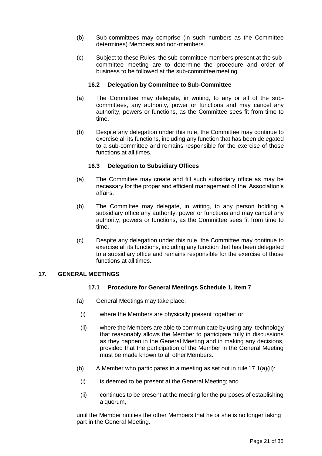- (b) Sub-committees may comprise (in such numbers as the Committee determines) Members and non-members.
- (c) Subject to these Rules, the sub-committee members present at the subcommittee meeting are to determine the procedure and order of business to be followed at the sub-committee meeting.

## **16.2 Delegation by Committee to Sub-Committee**

- (a) The Committee may delegate, in writing, to any or all of the subcommittees, any authority, power or functions and may cancel any authority, powers or functions, as the Committee sees fit from time to time.
- (b) Despite any delegation under this rule, the Committee may continue to exercise all its functions, including any function that has been delegated to a sub-committee and remains responsible for the exercise of those functions at all times.

## **16.3 Delegation to Subsidiary Offices**

- (a) The Committee may create and fill such subsidiary office as may be necessary for the proper and efficient management of the Association's affairs.
- (b) The Committee may delegate, in writing, to any person holding a subsidiary office any authority, power or functions and may cancel any authority, powers or functions, as the Committee sees fit from time to time.
- (c) Despite any delegation under this rule, the Committee may continue to exercise all its functions, including any function that has been delegated to a subsidiary office and remains responsible for the exercise of those functions at all times.

## <span id="page-22-2"></span><span id="page-22-0"></span>**17. GENERAL MEETINGS**

## **17.1 Procedure for General Meetings Schedule 1, Item 7**

- <span id="page-22-1"></span>(a) General Meetings may take place:
	- (i) where the Members are physically present together; or
	- (ii) where the Members are able to communicate by using any technology that reasonably allows the Member to participate fully in discussions as they happen in the General Meeting and in making any decisions, provided that the participation of the Member in the General Meeting must be made known to all other Members.
- (b) A Member who participates in a meeting as set out in rule  $17.1(a)(ii)$ :
	- (i) is deemed to be present at the General Meeting; and
	- (ii) continues to be present at the meeting for the purposes of establishing a quorum,

until the Member notifies the other Members that he or she is no longer taking part in the General Meeting.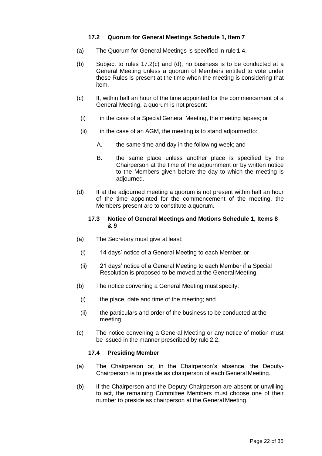## **17.2 Quorum for General Meetings Schedule 1, Item 7**

- (a) The Quorum for General Meetings is specified in rule 1.4.
- (b) Subject to rules 17.2(c) and (d), no business is to be conducted at a General Meeting unless a quorum of Members entitled to vote under these Rules is present at the time when the meeting is considering that item.
- (c) If, within half an hour of the time appointed for the commencement of a General Meeting, a quorum is not present:
	- (i) in the case of a Special General Meeting, the meeting lapses; or
	- $(ii)$  in the case of an AGM, the meeting is to stand adjourned to:
		- A. the same time and day in the following week; and
		- B. the same place unless another place is specified by the Chairperson at the time of the adjournment or by written notice to the Members given before the day to which the meeting is adjourned.
- (d) If at the adjourned meeting a quorum is not present within half an hour of the time appointed for the commencement of the meeting, the Members present are to constitute a quorum.

#### **17.3 Notice of General Meetings and Motions Schedule 1, Items 8 & 9**

- (a) The Secretary must give at least:
	- (i) 14 days' notice of a General Meeting to each Member, or
	- (ii) 21 days' notice of a General Meeting to each Member if a Special Resolution is proposed to be moved at the General Meeting.
- (b) The notice convening a General Meeting must specify:
	- (i) the place, date and time of the meeting; and
- (ii) the particulars and order of the business to be conducted at the meeting.
- (c) The notice convening a General Meeting or any notice of motion must be issued in the manner prescribed by rule 2.2.

## **17.4 Presiding Member**

- <span id="page-23-0"></span>(a) The Chairperson or, in the Chairperson's absence, the Deputy-Chairperson is to preside as chairperson of each General Meeting.
- (b) If the Chairperson and the Deputy-Chairperson are absent or unwilling to act, the remaining Committee Members must choose one of their number to preside as chairperson at the General Meeting.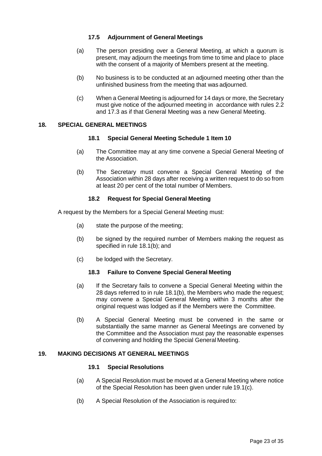## **17.5 Adjournment of General Meetings**

- (a) The person presiding over a General Meeting, at which a quorum is present, may adjourn the meetings from time to time and place to place with the consent of a majority of Members present at the meeting.
- (b) No business is to be conducted at an adjourned meeting other than the unfinished business from the meeting that was adjourned.
- (c) When a General Meeting is adjourned for 14 days or more, the Secretary must give notice of the adjourned meeting in accordance with rules 2.2 and [17.3 a](#page-22-2)s if that General Meeting was a new General Meeting.

## <span id="page-24-0"></span>**18. SPECIAL GENERAL MEETINGS**

#### **18.1 Special General Meeting Schedule 1 Item 10**

- (a) The Committee may at any time convene a Special General Meeting of the Association.
- <span id="page-24-2"></span>(b) The Secretary must convene a Special General Meeting of the Association within 28 days after receiving a written request to do so from at least 20 per cent of the total number of Members.

## **18.2 Request for Special General Meeting**

A request by the Members for a Special General Meeting must:

- (a) state the purpose of the meeting;
- (b) be signed by the required number of Members making the request as specified in rule [18.1\(b\);](#page-24-2) and
- (c) be lodged with the Secretary.

#### **18.3 Failure to Convene Special General Meeting**

- (a) If the Secretary fails to convene a Special General Meeting within the 28 days referred to in rule [18.1\(b\),](#page-24-2) the Members who made the request; may convene a Special General Meeting within 3 months after the original request was lodged as if the Members were the Committee.
- (b) A Special General Meeting must be convened in the same or substantially the same manner as General Meetings are convened by the Committee and the Association must pay the reasonable expenses of convening and holding the Special General Meeting.

## <span id="page-24-1"></span>**19. MAKING DECISIONS AT GENERAL MEETINGS**

#### **19.1 Special Resolutions**

- (a) A Special Resolution must be moved at a General Meeting where notice of the Special Resolution has been given under rule [19.1\(c\).](#page-25-0)
- (b) A Special Resolution of the Association is required to: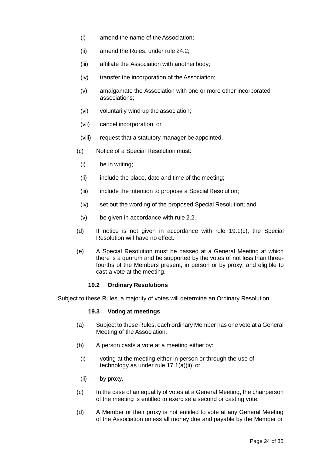- (i) amend the name of theAssociation;
- (ii) amend the Rules, under rule [24.2;](#page-30-1)
- (iii) affiliate the Association with another body;
- (iv) transfer the incorporation of theAssociation;
- (v) amalgamate the Association with one or more other incorporated associations;
- (vi) voluntarily wind up the association;
- (vii) cancel incorporation; or
- (viii) request that a statutory manager be appointed.
- <span id="page-25-0"></span>(c) Notice of a Special Resolution must:
	- (i) be in writing;
	- (ii) include the place, date and time of the meeting;
	- (iii) include the intention to propose a Special Resolution;
	- (iv) set out the wording of the proposed Special Resolution; and
	- (v) be given in accordance with rule 2.2.
- (d) If notice is not given in accordance with rule [19.1\(c\),](#page-25-0) the Special Resolution will have no effect.
- (e) A Special Resolution must be passed at a General Meeting at which there is a quorum and be supported by the votes of not less than threefourths of the Members present, in person or by proxy, and eligible to cast a vote at the meeting.

## **19.2 Ordinary Resolutions**

Subject to these Rules, a majority of votes will determine an Ordinary Resolution.

## **19.3 Voting at meetings**

- (a) Subject to these Rules, each ordinary Member has one vote at a General Meeting of the Association.
- (b) A person casts a vote at a meeting either by:
- (i) voting at the meeting either in person or through the use of technology as under rule [17.1\(a\)\(ii\);](#page-22-1) or
- (ii) by proxy.
- (c) In the case of an equality of votes at a General Meeting, the chairperson of the meeting is entitled to exercise a second or casting vote.
- (d) A Member or their proxy is not entitled to vote at any General Meeting of the Association unless all money due and payable by the Member or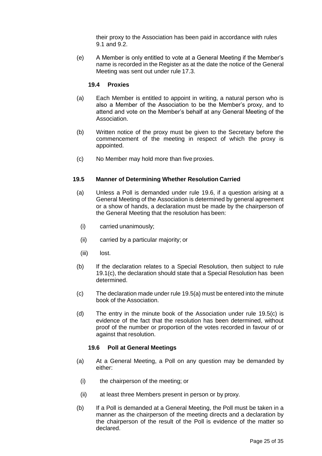their proxy to the Association has been paid in accordance with rules [9.1 a](#page-11-4)nd [9.2.](#page-11-5)

<span id="page-26-0"></span>(e) A Member is only entitled to vote at a General Meeting if the Member's name is recorded in the Register as at the date the notice of the General Meeting was sent out under rule 17.3.

#### **19.4 Proxies**

- (a) Each Member is entitled to appoint in writing, a natural person who is also a Member of the Association to be the Member's proxy, and to attend and vote on the Member's behalf at any General Meeting of the Association.
- (b) Written notice of the proxy must be given to the Secretary before the commencement of the meeting in respect of which the proxy is appointed.
- (c) No Member may hold more than five proxies.

#### <span id="page-26-2"></span>**19.5 Manner of Determining Whether Resolution Carried**

- (a) Unless a Poll is demanded under rule [19.6,](#page-26-1) if a question arising at a General Meeting of the Association is determined by general agreement or a show of hands, a declaration must be made by the chairperson of the General Meeting that the resolution has been:
	- (i) carried unanimously;
	- (ii) carried by a particular majority; or
	- (iii) lost.
- (b) If the declaration relates to a Special Resolution, then subject to rule 19.1(c), the declaration should state that a Special Resolution has been determined.
- <span id="page-26-3"></span>(c) The declaration made under rul[e 19.5\(a\)](#page-26-2) must be entered into the minute book of the Association.
- (d) The entry in the minute book of the Association under rule [19.5\(c\) i](#page-26-3)s evidence of the fact that the resolution has been determined, without proof of the number or proportion of the votes recorded in favour of or against that resolution.

#### **19.6 Poll at General Meetings**

- <span id="page-26-1"></span>(a) At a General Meeting, a Poll on any question may be demanded by either:
	- (i) the chairperson of the meeting; or
	- (ii) at least three Members present in person or by proxy.
- (b) If a Poll is demanded at a General Meeting, the Poll must be taken in a manner as the chairperson of the meeting directs and a declaration by the chairperson of the result of the Poll is evidence of the matter so declared.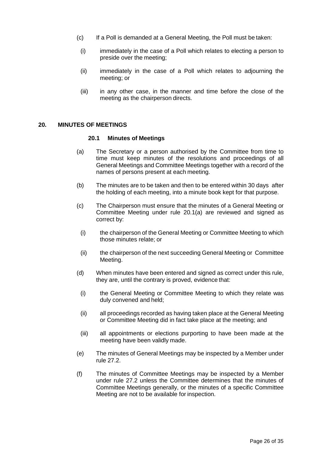- (c) If a Poll is demanded at a General Meeting, the Poll must be taken:
- (i) immediately in the case of a Poll which relates to electing a person to preside over the meeting;
- (ii) immediately in the case of a Poll which relates to adjourning the meeting; or
- (iii) in any other case, in the manner and time before the close of the meeting as the chairperson directs.

#### <span id="page-27-2"></span><span id="page-27-0"></span>**20. MINUTES OF MEETINGS**

#### **20.1 Minutes of Meetings**

- (a) The Secretary or a person authorised by the Committee from time to time must keep minutes of the resolutions and proceedings of all General Meetings and Committee Meetings together with a record of the names of persons present at each meeting.
- (b) The minutes are to be taken and then to be entered within 30 days after the holding of each meeting, into a minute book kept for that purpose.
- <span id="page-27-1"></span>(c) The Chairperson must ensure that the minutes of a General Meeting or Committee Meeting under rule [20.1\(a\)](#page-27-2) are reviewed and signed as correct by:
	- (i) the chairperson of the General Meeting or Committee Meeting to which those minutes relate; or
	- (ii) the chairperson of the next succeeding General Meeting or Committee Meeting.
- (d) When minutes have been entered and signed as correct under this rule, they are, until the contrary is proved, evidence that:
	- (i) the General Meeting or Committee Meeting to which they relate was duly convened and held;
	- (ii) all proceedings recorded as having taken place at the General Meeting or Committee Meeting did in fact take place at the meeting; and
	- (iii) all appointments or elections purporting to have been made at the meeting have been validly made.
- (e) The minutes of General Meetings may be inspected by a Member under rule 27.2.
- (f) The minutes of Committee Meetings may be inspected by a Member under rule 27.2 unless the Committee determines that the minutes of Committee Meetings generally, or the minutes of a specific Committee Meeting are not to be available for inspection.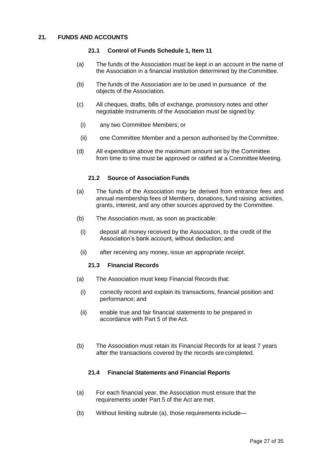## <span id="page-28-0"></span>**21. FUNDS AND ACCOUNTS**

#### **21.1 Control of Funds Schedule 1, Item 11**

- (a) The funds of the Association must be kept in an account in the name of the Association in a financial institution determined by the Committee.
- (b) The funds of the Association are to be used in pursuance of the objects of the Association.
- (c) All cheques, drafts, bills of exchange, promissory notes and other negotiable instruments of the Association must be signed by:
	- (i) any two Committee Members; or
	- (ii) one Committee Member and a person authorised by the Committee.
- (d) All expenditure above the maximum amount set by the Committee from time to time must be approved or ratified at a Committee Meeting.

## **21.2 Source of Association Funds**

- (a) The funds of the Association may be derived from entrance fees and annual membership fees of Members, donations, fund raising activities, grants, interest, and any other sources approved by the Committee.
- (b) The Association must, as soon as practicable:
- (i) deposit all money received by the Association, to the credit of the Association's bank account, without deduction; and
- (ii) after receiving any money, issue an appropriate receipt.

#### **21.3 Financial Records**

- (a) The Association must keep Financial Records that:
- (i) correctly record and explain its transactions, financial position and performance; and
- (ii) enable true and fair financial statements to be prepared in accordance with Part 5 of the Act.
- (b) The Association must retain its Financial Records for at least 7 years after the transactions covered by the records are completed.

#### **21.4 Financial Statements and Financial Reports**

- (a) For each financial year, the Association must ensure that the requirements under Part 5 of the Act are met.
- (b) Without limiting subrule (a), those requirements include—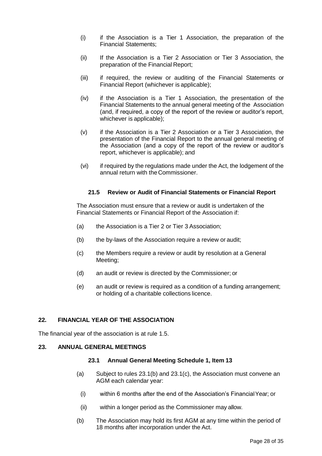- (i) if the Association is a Tier 1 Association, the preparation of the Financial Statements;
- (ii) If the Association is a Tier 2 Association or Tier 3 Association, the preparation of the Financial Report;
- (iii) if required, the review or auditing of the Financial Statements or Financial Report (whichever is applicable);
- (iv) if the Association is a Tier 1 Association, the presentation of the Financial Statements to the annual general meeting of the Association (and, if required, a copy of the report of the review or auditor's report, whichever is applicable);
- (v) if the Association is a Tier 2 Association or a Tier 3 Association, the presentation of the Financial Report to the annual general meeting of the Association (and a copy of the report of the review or auditor's report, whichever is applicable); and
- (vi) if required by the regulations made under the Act, the lodgement of the annual return with the Commissioner.

## **21.5 Review or Audit of Financial Statements or Financial Report**

The Association must ensure that a review or audit is undertaken of the Financial Statements or Financial Report of the Association if:

- (a) the Association is a Tier 2 or Tier 3 Association;
- (b) the by-laws of the Association require a review or audit;
- (c) the Members require a review or audit by resolution at a General Meeting;
- (d) an audit or review is directed by the Commissioner; or
- (e) an audit or review is required as a condition of a funding arrangement; or holding of a charitable collections licence.

## <span id="page-29-0"></span>**22. FINANCIAL YEAR OF THE ASSOCIATION**

The financial year of the association is at rule 1.5.

## <span id="page-29-4"></span><span id="page-29-1"></span>**23. ANNUAL GENERAL MEETINGS**

#### **23.1 Annual General Meeting Schedule 1, Item 13**

- (a) Subject to rules [23.1\(b\) a](#page-29-2)nd [23.1\(c\),](#page-30-2) the Association must convene an AGM each calendar year:
	- (i) within 6 months after the end of the Association's FinancialYear; or
- (ii) within a longer period as the Commissioner may allow.
- <span id="page-29-3"></span><span id="page-29-2"></span>(b) The Association may hold its first AGM at any time within the period of 18 months after incorporation under the Act.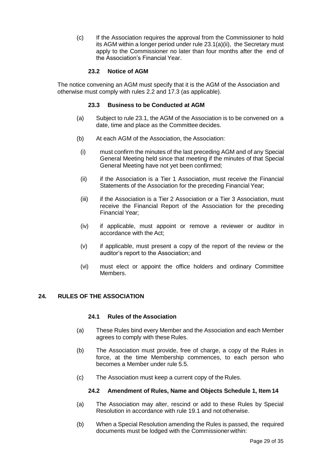<span id="page-30-2"></span>(c) If the Association requires the approval from the Commissioner to hold its AGM within a longer period under rule [23.1\(a\)\(ii\),](#page-29-3) the Secretary must apply to the Commissioner no later than four months after the end of the Association's Financial Year.

## **23.2 Notice of AGM**

The notice convening an AGM must specify that it is the AGM of the Association and otherwise must comply with rules 2.2 and 17.3 (as applicable).

#### **23.3 Business to be Conducted at AGM**

- (a) Subject to rule [23.1,](#page-29-4) the AGM of the Association is to be convened on a date, time and place as the Committee decides.
- (b) At each AGM of the Association, the Association:
- (i) must confirm the minutes of the last preceding AGM and of any Special General Meeting held since that meeting if the minutes of that Special General Meeting have not yet been confirmed;
- (ii) if the Association is a Tier 1 Association, must receive the Financial Statements of the Association for the preceding Financial Year;
- (iii) if the Association is a Tier 2 Association or a Tier 3 Association, must receive the Financial Report of the Association for the preceding Financial Year;
- (iv) if applicable, must appoint or remove a reviewer or auditor in accordance with the Act;
- (v) if applicable, must present a copy of the report of the review or the auditor's report to the Association; and
- (vi) must elect or appoint the office holders and ordinary Committee Members.

## <span id="page-30-0"></span>**24. RULES OF THE ASSOCIATION**

## **24.1 Rules of the Association**

- (a) These Rules bind every Member and the Association and each Member agrees to comply with these Rules.
- (b) The Association must provide, free of charge, a copy of the Rules in force, at the time Membership commences, to each person who becomes a Member under rule 5.5.
- <span id="page-30-1"></span>(c) The Association must keep a current copy of the Rules.

#### **24.2 Amendment of Rules, Name and Objects Schedule 1, Item 14**

- (a) The Association may alter, rescind or add to these Rules by Special Resolution in accordance with rule 19.1 and not otherwise.
- (b) When a Special Resolution amending the Rules is passed, the required documents must be lodged with the Commissionerwithin: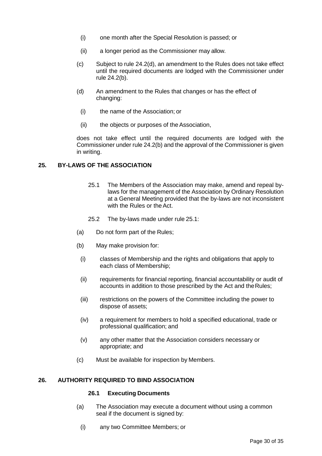- (i) one month after the Special Resolution is passed; or
- (ii) a longer period as the Commissioner may allow.
- (c) Subject to rule 24.2(d), an amendment to the Rules does not take effect until the required documents are lodged with the Commissioner under rule 24.2(b).
- (d) An amendment to the Rules that changes or has the effect of changing:
- (i) the name of the Association; or
- (ii) the objects or purposes of theAssociation,

does not take effect until the required documents are lodged with the Commissioner under rule 24.2(b) and the approval of the Commissioner is given in writing.

## <span id="page-31-0"></span>**25. BY-LAWS OF THE ASSOCIATION**

- 25.1 The Members of the Association may make, amend and repeal bylaws for the management of the Association by Ordinary Resolution at a General Meeting provided that the by-laws are not inconsistent with the Rules or the Act.
- 25.2 The by-laws made under rule 25.1:
- (a) Do not form part of the Rules;
- (b) May make provision for:
	- (i) classes of Membership and the rights and obligations that apply to each class of Membership;
	- (ii) requirements for financial reporting, financial accountability or audit of accounts in addition to those prescribed by the Act and theRules;
	- (iii) restrictions on the powers of the Committee including the power to dispose of assets;
	- (iv) a requirement for members to hold a specified educational, trade or professional qualification; and
	- (v) any other matter that the Association considers necessary or appropriate; and
- (c) Must be available for inspection by Members.

## <span id="page-31-1"></span>**26. AUTHORITY REQUIRED TO BIND ASSOCIATION**

#### **26.1 Executing Documents**

- (a) The Association may execute a document without using a common seal if the document is signed by:
	- (i) any two Committee Members; or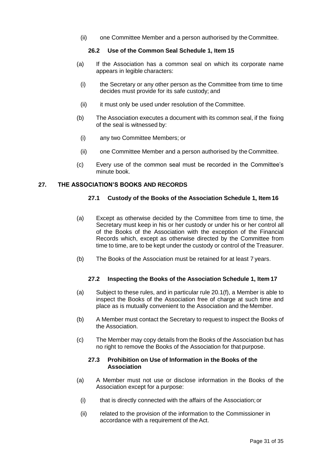(ii) one Committee Member and a person authorised by the Committee.

## **26.2 Use of the Common Seal Schedule 1, Item 15**

- (a) If the Association has a common seal on which its corporate name appears in legible characters:
- (i) the Secretary or any other person as the Committee from time to time decides must provide for its safe custody; and
- (ii) it must only be used under resolution of the Committee.
- (b) The Association executes a document with its common seal, if the fixing of the seal is witnessed by:
	- (i) any two Committee Members; or
- (ii) one Committee Member and a person authorised by the Committee.
- (c) Every use of the common seal must be recorded in the Committee's minute book.

## <span id="page-32-1"></span><span id="page-32-0"></span>**27. THE ASSOCIATION'S BOOKS AND RECORDS**

## **27.1 Custody of the Books of the Association Schedule 1, Item 16**

- (a) Except as otherwise decided by the Committee from time to time, the Secretary must keep in his or her custody or under his or her control all of the Books of the Association with the exception of the Financial Records which, except as otherwise directed by the Committee from time to time, are to be kept under the custody or control of the Treasurer.
- (b) The Books of the Association must be retained for at least 7 years.

## **27.2 Inspecting the Books of the Association Schedule 1, Item 17**

- (a) Subject to these rules, and in particular rule 20.1(f), a Member is able to inspect the Books of the Association free of charge at such time and place as is mutually convenient to the Association and the Member.
- (b) A Member must contact the Secretary to request to inspect the Books of the Association.
- (c) The Member may copy details from the Books of the Association but has no right to remove the Books of the Association for that purpose.

#### **27.3 Prohibition on Use of Information in the Books of the Association**

- (a) A Member must not use or disclose information in the Books of the Association except for a purpose:
	- (i) that is directly connected with the affairs of the Association;or
	- (ii) related to the provision of the information to the Commissioner in accordance with a requirement of the Act.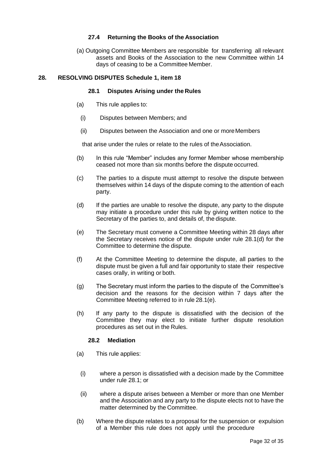## **27.4 Returning the Books of the Association**

(a) Outgoing Committee Members are responsible for transferring all relevant assets and Books of the Association to the new Committee within 14 days of ceasing to be a Committee Member.

## <span id="page-33-0"></span>**28. RESOLVING DISPUTES Schedule 1, item 18**

## **28.1 Disputes Arising under the Rules**

- (a) This rule applies to:
	- (i) Disputes between Members; and
	- (ii) Disputes between the Association and one or moreMembers

that arise under the rules or relate to the rules of theAssociation.

- (b) In this rule "Member" includes any former Member whose membership ceased not more than six months before the dispute occurred.
- (c) The parties to a dispute must attempt to resolve the dispute between themselves within 14 days of the dispute coming to the attention of each party.
- (d) If the parties are unable to resolve the dispute, any party to the dispute may initiate a procedure under this rule by giving written notice to the Secretary of the parties to, and details of, the dispute.
- (e) The Secretary must convene a Committee Meeting within 28 days after the Secretary receives notice of the dispute under rule 28.1(d) for the Committee to determine the dispute.
- (f) At the Committee Meeting to determine the dispute, all parties to the dispute must be given a full and fair opportunity to state their respective cases orally, in writing or both.
- (g) The Secretary must inform the parties to the dispute of the Committee's decision and the reasons for the decision within 7 days after the Committee Meeting referred to in rule 28.1(e).
- (h) If any party to the dispute is dissatisfied with the decision of the Committee they may elect to initiate further dispute resolution procedures as set out in the Rules.

## **28.2 Mediation**

- (a) This rule applies:
	- (i) where a person is dissatisfied with a decision made by the Committee under rule 28.1; or
	- (ii) where a dispute arises between a Member or more than one Member and the Association and any party to the dispute elects not to have the matter determined by the Committee.
- (b) Where the dispute relates to a proposal for the suspension or expulsion of a Member this rule does not apply until the procedure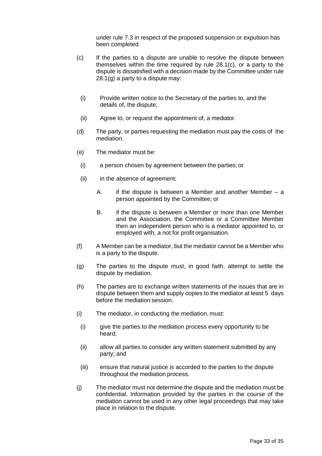under rule 7.3 in respect of the proposed suspension or expulsion has been completed.

- (c) If the parties to a dispute are unable to resolve the dispute between themselves within the time required by rule 28.1(c), or a party to the dispute is dissatisfied with a decision made by the Committee under rule 28.1(g) a party to a dispute may:
	- (i) Provide written notice to the Secretary of the parties to, and the details of, the dispute;
	- (ii) Agree to, or request the appointment of, a mediator.
- (d) The party, or parties requesting the mediation must pay the costs of the mediation.
- (e) The mediator must be:
- (i) a person chosen by agreement between the parties; or
- (ii) in the absence of agreement:
	- A. if the dispute is between a Member and another Member a person appointed by the Committee; or
	- B. if the dispute is between a Member or more than one Member and the Association, the Committee or a Committee Member then an independent person who is a mediator appointed to, or employed with, a not for profit organisation.
- (f) A Member can be a mediator, but the mediator cannot be a Member who is a party to the dispute.
- (g) The parties to the dispute must, in good faith, attempt to settle the dispute by mediation.
- (h) The parties are to exchange written statements of the issues that are in dispute between them and supply copies to the mediator at least 5 days before the mediation session.
- (i) The mediator, in conducting the mediation, must:
	- (i) give the parties to the mediation process every opportunity to be heard;
	- (ii) allow all parties to consider any written statement submitted by any party; and
	- (iii) ensure that natural justice is accorded to the parties to the dispute throughout the mediation process.
- (j) The mediator must not determine the dispute and the mediation must be confidential. Information provided by the parties in the course of the mediation cannot be used in any other legal proceedings that may take place in relation to the dispute.